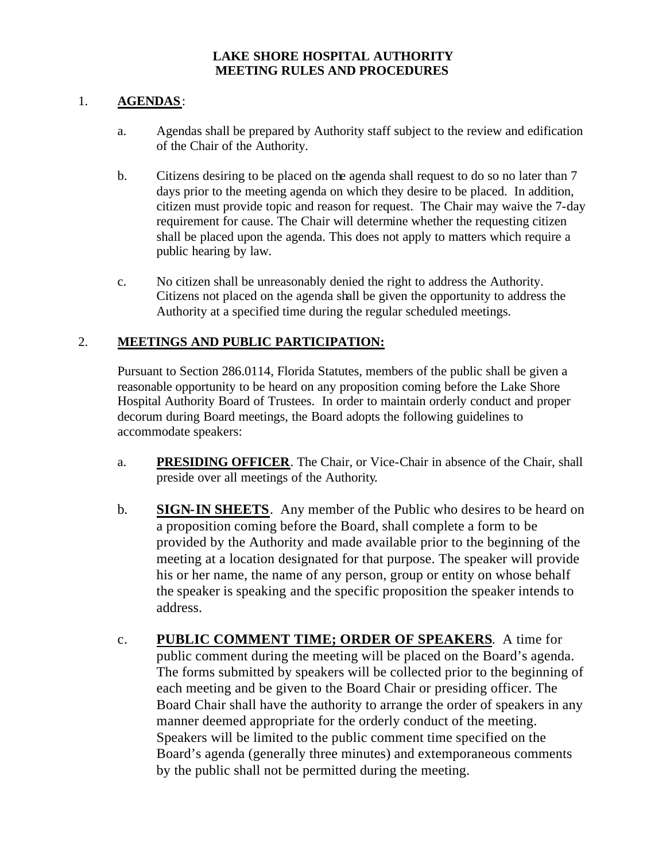### **LAKE SHORE HOSPITAL AUTHORITY MEETING RULES AND PROCEDURES**

### 1. **AGENDAS**:

- a. Agendas shall be prepared by Authority staff subject to the review and edification of the Chair of the Authority.
- b. Citizens desiring to be placed on the agenda shall request to do so no later than 7 days prior to the meeting agenda on which they desire to be placed. In addition, citizen must provide topic and reason for request. The Chair may waive the 7-day requirement for cause. The Chair will determine whether the requesting citizen shall be placed upon the agenda. This does not apply to matters which require a public hearing by law.
- c. No citizen shall be unreasonably denied the right to address the Authority. Citizens not placed on the agenda shall be given the opportunity to address the Authority at a specified time during the regular scheduled meetings.

### 2. **MEETINGS AND PUBLIC PARTICIPATION:**

Pursuant to Section 286.0114, Florida Statutes, members of the public shall be given a reasonable opportunity to be heard on any proposition coming before the Lake Shore Hospital Authority Board of Trustees. In order to maintain orderly conduct and proper decorum during Board meetings, the Board adopts the following guidelines to accommodate speakers:

- a. **PRESIDING OFFICER**. The Chair, or Vice-Chair in absence of the Chair, shall preside over all meetings of the Authority.
- b. **SIGN-IN SHEETS**. Any member of the Public who desires to be heard on a proposition coming before the Board, shall complete a form to be provided by the Authority and made available prior to the beginning of the meeting at a location designated for that purpose. The speaker will provide his or her name, the name of any person, group or entity on whose behalf the speaker is speaking and the specific proposition the speaker intends to address.
- c. **PUBLIC COMMENT TIME; ORDER OF SPEAKERS**. A time for public comment during the meeting will be placed on the Board's agenda. The forms submitted by speakers will be collected prior to the beginning of each meeting and be given to the Board Chair or presiding officer. The Board Chair shall have the authority to arrange the order of speakers in any manner deemed appropriate for the orderly conduct of the meeting. Speakers will be limited to the public comment time specified on the Board's agenda (generally three minutes) and extemporaneous comments by the public shall not be permitted during the meeting.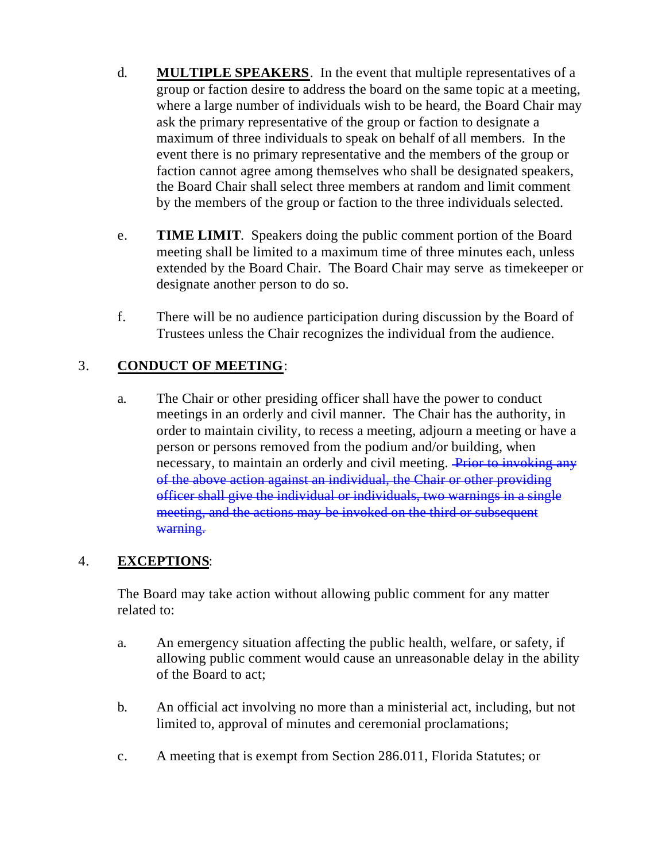- d. **MULTIPLE SPEAKERS**. In the event that multiple representatives of a group or faction desire to address the board on the same topic at a meeting, where a large number of individuals wish to be heard, the Board Chair may ask the primary representative of the group or faction to designate a maximum of three individuals to speak on behalf of all members. In the event there is no primary representative and the members of the group or faction cannot agree among themselves who shall be designated speakers, the Board Chair shall select three members at random and limit comment by the members of the group or faction to the three individuals selected.
- e. **TIME LIMIT**. Speakers doing the public comment portion of the Board meeting shall be limited to a maximum time of three minutes each, unless extended by the Board Chair. The Board Chair may serve as timekeeper or designate another person to do so.
- f. There will be no audience participation during discussion by the Board of Trustees unless the Chair recognizes the individual from the audience.

# 3. **CONDUCT OF MEETING**:

a. The Chair or other presiding officer shall have the power to conduct meetings in an orderly and civil manner. The Chair has the authority, in order to maintain civility, to recess a meeting, adjourn a meeting or have a person or persons removed from the podium and/or building, when necessary, to maintain an orderly and civil meeting. Prior to invoking any of the above action against an individual, the Chair or other providing officer shall give the individual or individuals, two warnings in a single meeting, and the actions may be invoked on the third or subsequent warning.

## 4. **EXCEPTIONS**:

The Board may take action without allowing public comment for any matter related to:

- a. An emergency situation affecting the public health, welfare, or safety, if allowing public comment would cause an unreasonable delay in the ability of the Board to act;
- b. An official act involving no more than a ministerial act, including, but not limited to, approval of minutes and ceremonial proclamations;
- c. A meeting that is exempt from Section 286.011, Florida Statutes; or